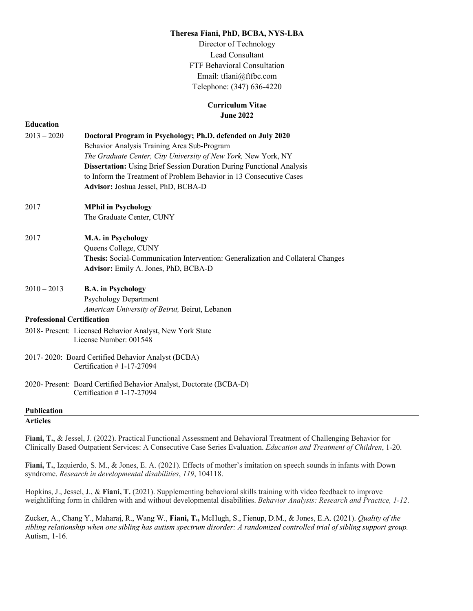## **Theresa Fiani, PhD, BCBA, NYS-LBA**

Director of Technology Lead Consultant FTF Behavioral Consultation Email: tfiani@ftfbc.com Telephone: (347) 636-4220

# **Curriculum Vitae June 2022**

| <b>Education</b>                  |                                                                                                     |
|-----------------------------------|-----------------------------------------------------------------------------------------------------|
| $2013 - 2020$                     | Doctoral Program in Psychology; Ph.D. defended on July 2020                                         |
|                                   | Behavior Analysis Training Area Sub-Program                                                         |
|                                   | The Graduate Center, City University of New York, New York, NY                                      |
|                                   | <b>Dissertation:</b> Using Brief Session Duration During Functional Analysis                        |
|                                   | to Inform the Treatment of Problem Behavior in 13 Consecutive Cases                                 |
|                                   | Advisor: Joshua Jessel, PhD, BCBA-D                                                                 |
| 2017                              | <b>MPhil in Psychology</b>                                                                          |
|                                   | The Graduate Center, CUNY                                                                           |
| 2017                              | M.A. in Psychology                                                                                  |
|                                   | Queens College, CUNY                                                                                |
|                                   | Thesis: Social-Communication Intervention: Generalization and Collateral Changes                    |
|                                   | Advisor: Emily A. Jones, PhD, BCBA-D                                                                |
| $2010 - 2013$                     | <b>B.A.</b> in Psychology                                                                           |
|                                   | <b>Psychology Department</b>                                                                        |
|                                   | American University of Beirut, Beirut, Lebanon                                                      |
| <b>Professional Certification</b> |                                                                                                     |
|                                   | 2018- Present: Licensed Behavior Analyst, New York State                                            |
|                                   | License Number: 001548                                                                              |
|                                   | 2017-2020: Board Certified Behavior Analyst (BCBA)                                                  |
|                                   | Certification $# 1-17-27094$                                                                        |
|                                   | 2020- Present: Board Certified Behavior Analyst, Doctorate (BCBA-D)<br>Certification $# 1-17-27094$ |
| <b>Publication</b>                |                                                                                                     |
| <b>Articles</b>                   |                                                                                                     |
|                                   |                                                                                                     |

**Fiani, T.**, & Jessel, J. (2022). Practical Functional Assessment and Behavioral Treatment of Challenging Behavior for Clinically Based Outpatient Services: A Consecutive Case Series Evaluation. *Education and Treatment of Children*, 1-20.

**Fiani, T.**, Izquierdo, S. M., & Jones, E. A. (2021). Effects of mother's imitation on speech sounds in infants with Down syndrome. *Research in developmental disabilities*, *119*, 104118.

Hopkins, J., Jessel, J., & **Fiani, T.** (2021). Supplementing behavioral skills training with video feedback to improve weightlifting form in children with and without developmental disabilities. *Behavior Analysis: Research and Practice, 1-12*.

Zucker, A., Chang Y., Maharaj, R., Wang W., **Fiani, T.,** McHugh, S., Fienup, D.M., & Jones, E.A. (2021). *Quality of the sibling relationship when one sibling has autism spectrum disorder: A randomized controlled trial of sibling support group.* Autism, 1-16.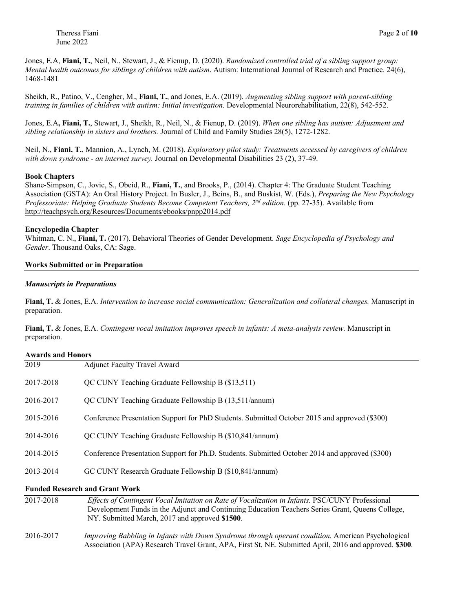Jones, E.A, **Fiani, T.**, Neil, N., Stewart, J., & Fienup, D. (2020). *Randomized controlled trial of a sibling support group: Mental health outcomes for siblings of children with autism*. Autism: International Journal of Research and Practice. 24(6), 1468-1481

Sheikh, R., Patino, V., Cengher, M., **Fiani, T.**, and Jones, E.A. (2019). *Augmenting sibling support with parent-sibling training in families of children with autism: Initial investigation.* Developmental Neurorehabilitation, 22(8), 542-552.

Jones, E.A**, Fiani, T.**, Stewart, J., Sheikh, R., Neil, N., & Fienup, D. (2019). *When one sibling has autism: Adjustment and sibling relationship in sisters and brothers.* Journal of Child and Family Studies 28(5), 1272-1282.

Neil, N., **Fiani, T.**, Mannion, A., Lynch, M. (2018). *Exploratory pilot study: Treatments accessed by caregivers of children with down syndrome - an internet survey.* Journal on Developmental Disabilities 23 (2), 37-49.

#### **Book Chapters**

Shane-Simpson, C., Jovic, S., Obeid, R., **Fiani, T.**, and Brooks, P., (2014). Chapter 4: The Graduate Student Teaching Association (GSTA): An Oral History Project. In Busler, J., Beins, B., and Buskist, W. (Eds.), *Preparing the New Psychology Professoriate: Helping Graduate Students Become Competent Teachers, 2nd edition.* (pp. 27-35). Available from http://teachpsych.org/Resources/Documents/ebooks/pnpp2014.pdf

## **Encyclopedia Chapter**

Whitman, C. N., **Fiani, T.** (2017). Behavioral Theories of Gender Development. *Sage Encyclopedia of Psychology and Gender*. Thousand Oaks, CA: Sage.

## **Works Submitted or in Preparation**

## *Manuscripts in Preparations*

**Fiani, T.** & Jones, E.A. *Intervention to increase social communication: Generalization and collateral changes.* Manuscript in preparation.

**Fiani, T.** & Jones, E.A. *Contingent vocal imitation improves speech in infants: A meta-analysis review.* Manuscript in preparation.

#### **Awards and Honors**

| 2014-2015<br>2013-2014 | Conference Presentation Support for Ph.D. Students. Submitted October 2014 and approved (\$300)<br>GC CUNY Research Graduate Fellowship B (\$10,841/annum) |
|------------------------|------------------------------------------------------------------------------------------------------------------------------------------------------------|
| 2014-2016              | QC CUNY Teaching Graduate Fellowship B (\$10,841/annum)                                                                                                    |
| 2015-2016              | Conference Presentation Support for PhD Students. Submitted October 2015 and approved (\$300)                                                              |
| 2016-2017              | QC CUNY Teaching Graduate Fellowship B (13,511/annum)                                                                                                      |
| 2017-2018              | QC CUNY Teaching Graduate Fellowship B (\$13,511)                                                                                                          |
| 2019                   | <b>Adjunct Faculty Travel Award</b>                                                                                                                        |

| 2017-2018 | Effects of Contingent Vocal Imitation on Rate of Vocalization in Infants. PSC/CUNY Professional<br>Development Funds in the Adjunct and Continuing Education Teachers Series Grant, Queens College,<br>NY. Submitted March, 2017 and approved \$1500. |
|-----------|-------------------------------------------------------------------------------------------------------------------------------------------------------------------------------------------------------------------------------------------------------|
| 2016-2017 | Improving Babbling in Infants with Down Syndrome through operant condition. American Psychological<br>Association (APA) Research Travel Grant, APA, First St, NE. Submitted April, 2016 and approved. \$300.                                          |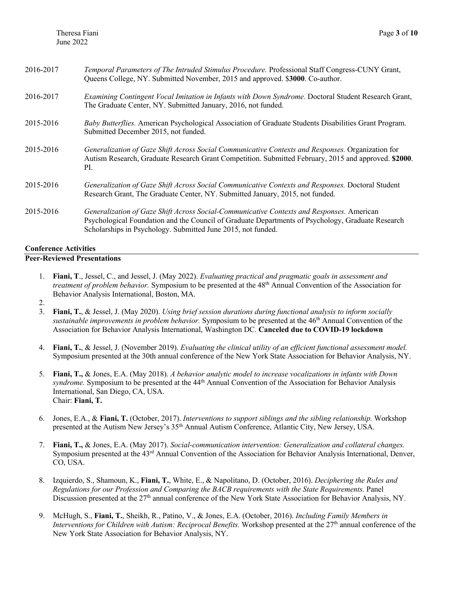| 2016-2017 | Temporal Parameters of The Intruded Stimulus Procedure. Professional Staff Congress-CUNY Grant,<br>Queens College, NY. Submitted November, 2015 and approved. \$3000. Co-author.                                                                               |
|-----------|----------------------------------------------------------------------------------------------------------------------------------------------------------------------------------------------------------------------------------------------------------------|
| 2016-2017 | Examining Contingent Vocal Imitation in Infants with Down Syndrome. Doctoral Student Research Grant,<br>The Graduate Center, NY. Submitted January, 2016, not funded.                                                                                          |
| 2015-2016 | Baby Butterflies. American Psychological Association of Graduate Students Disabilities Grant Program.<br>Submitted December 2015, not funded.                                                                                                                  |
| 2015-2016 | Generalization of Gaze Shift Across Social Communicative Contexts and Responses. Organization for<br>Autism Research, Graduate Research Grant Competition. Submitted February, 2015 and approved. \$2000.<br>PI.                                               |
| 2015-2016 | Generalization of Gaze Shift Across Social Communicative Contexts and Responses. Doctoral Student<br>Research Grant, The Graduate Center, NY. Submitted January, 2015, not funded.                                                                             |
| 2015-2016 | Generalization of Gaze Shift Across Social-Communicative Contexts and Responses. American<br>Psychological Foundation and the Council of Graduate Departments of Psychology, Graduate Research<br>Scholarships in Psychology. Submitted June 2015, not funded. |

# **Conference Activities**

## **Peer-Reviewed Presentations**

1. **Fiani, T**., Jessel, C., and Jessel, J. (May 2022). *Evaluating practical and pragmatic goals in assessment and treatment of problem behavior.* Symposium to be presented at the 48th Annual Convention of the Association for Behavior Analysis International, Boston, MA.

2.

- 3. **Fiani, T.**, & Jessel, J. (May 2020). *Using brief session durations during functional analysis to inform socially sustainable improvements in problem behavior.* Symposium to be presented at the 46th Annual Convention of the Association for Behavior Analysis International, Washington DC. **Canceled due to COVID-19 lockdown**
- 4. **Fiani, T.**, & Jessel, J. (November 2019). *Evaluating the clinical utility of an efficient functional assessment model.*  Symposium presented at the 30th annual conference of the New York State Association for Behavior Analysis, NY.
- 5. **Fiani, T.,** & Jones, E.A. (May 2018). *A behavior analytic model to increase vocalizations in infants with Down syndrome.* Symposium to be presented at the 44th Annual Convention of the Association for Behavior Analysis International, San Diego, CA, USA. Chair: **Fiani, T.**
- 6. Jones, E.A., & **Fiani, T.** (October, 2017). *Interventions to support siblings and the sibling relationship.* Workshop presented at the Autism New Jersey's 35th Annual Autism Conference, Atlantic City, New Jersey, USA.
- 7. **Fiani, T.,** & Jones, E.A. (May 2017). *Social-communication intervention: Generalization and collateral changes.*  Symposium presented at the 43rd Annual Convention of the Association for Behavior Analysis International, Denver, CO, USA.
- 8. Izquierdo, S., Shamoun, K., **Fiani, T.**, White, E., & Napolitano, D. (October, 2016). *Deciphering the Rules and Regulations for our Profession and Comparing the BACB requirements with the State Requirements.* Panel Discussion presented at the 27<sup>th</sup> annual conference of the New York State Association for Behavior Analysis, NY.
- 9. McHugh, S., **Fiani, T.**, Sheikh, R., Patino, V., & Jones, E.A. (October, 2016). *Including Family Members in Interventions for Children with Autism: Reciprocal Benefits.* Workshop presented at the 27<sup>th</sup> annual conference of the New York State Association for Behavior Analysis, NY.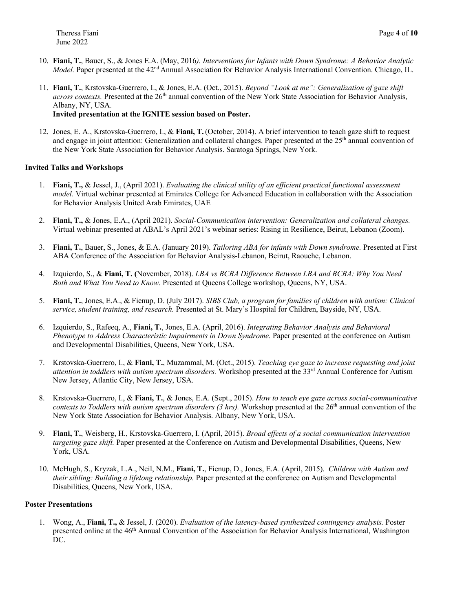- 10. **Fiani, T.**, Bauer, S., & Jones E.A. (May, 2016*). Interventions for Infants with Down Syndrome: A Behavior Analytic Model.* Paper presented at the 42<sup>nd</sup> Annual Association for Behavior Analysis International Convention. Chicago, IL.
- 11. **Fiani, T.**, Krstovska-Guerrero, I., & Jones, E.A. (Oct., 2015). *Beyond "Look at me": Generalization of gaze shift across contexts*. Presented at the 26<sup>th</sup> annual convention of the New York State Association for Behavior Analysis, Albany, NY, USA.

# **Invited presentation at the IGNITE session based on Poster.**

12. Jones, E. A., Krstovska-Guerrero, I., & **Fiani, T.**(October, 2014). A brief intervention to teach gaze shift to request and engage in joint attention: Generalization and collateral changes. Paper presented at the 25<sup>th</sup> annual convention of the New York State Association for Behavior Analysis. Saratoga Springs, New York.

## **Invited Talks and Workshops**

- 1. **Fiani, T.,** & Jessel, J., (April 2021). *Evaluating the clinical utility of an efficient practical functional assessment model.* Virtual webinar presented at Emirates College for Advanced Education in collaboration with the Association for Behavior Analysis United Arab Emirates, UAE
- 2. **Fiani, T.,** & Jones, E.A., (April 2021). *Social-Communication intervention: Generalization and collateral changes.*  Virtual webinar presented at ABAL's April 2021's webinar series: Rising in Resilience, Beirut, Lebanon (Zoom).
- 3. **Fiani, T.**, Bauer, S., Jones, & E.A. (January 2019). *Tailoring ABA for infants with Down syndrome.* Presented at First ABA Conference of the Association for Behavior Analysis-Lebanon, Beirut, Raouche, Lebanon.
- 4. Izquierdo, S., & **Fiani, T. (**November, 2018). *LBA vs BCBA Difference Between LBA and BCBA: Why You Need Both and What You Need to Know.* Presented at Queens College workshop, Queens, NY, USA.
- 5. **Fiani, T.**, Jones, E.A., & Fienup, D. (July 2017). *SIBS Club, a program for families of children with autism: Clinical service, student training, and research.* Presented at St. Mary's Hospital for Children, Bayside, NY, USA.
- 6. Izquierdo, S., Rafeeq, A., **Fiani, T.**, Jones, E.A. (April, 2016). *Integrating Behavior Analysis and Behavioral Phenotype to Address Characteristic Impairments in Down Syndrome.* Paper presented at the conference on Autism and Developmental Disabilities, Queens, New York, USA.
- 7. Krstovska-Guerrero, I., & **Fiani, T.**, Muzammal, M. (Oct., 2015). *Teaching eye gaze to increase requesting and joint attention in toddlers with autism spectrum disorders.* Workshop presented at the 33rd Annual Conference for Autism New Jersey, Atlantic City, New Jersey, USA.
- 8. Krstovska-Guerrero, I., & **Fiani, T.**, & Jones, E.A. (Sept., 2015). *How to teach eye gaze across social-communicative contexts to Toddlers with autism spectrum disorders (3 hrs)*. Workshop presented at the 26<sup>th</sup> annual convention of the New York State Association for Behavior Analysis. Albany, New York, USA.
- 9. **Fiani, T.**, Weisberg, H., Krstovska-Guerrero, I. (April, 2015). *Broad effects of a social communication intervention targeting gaze shift.* Paper presented at the Conference on Autism and Developmental Disabilities, Queens, New York, USA.
- 10. McHugh, S., Kryzak, L.A., Neil, N.M., **Fiani, T.**, Fienup, D., Jones, E.A. (April, 2015). *Children with Autism and their sibling: Building a lifelong relationship.* Paper presented at the conference on Autism and Developmental Disabilities, Queens, New York, USA.

## **Poster Presentations**

1. Wong, A., **Fiani, T.,** & Jessel, J. (2020). *Evaluation of the latency-based synthesized contingency analysis.* Poster presented online at the 46th Annual Convention of the Association for Behavior Analysis International, Washington DC.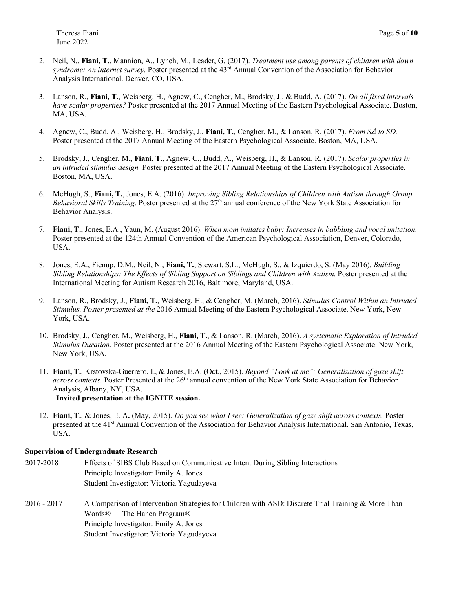- 2. Neil, N., **Fiani, T.**, Mannion, A., Lynch, M., Leader, G. (2017). *Treatment use among parents of children with down syndrome: An internet survey.* Poster presented at the 43rd Annual Convention of the Association for Behavior Analysis International. Denver, CO, USA.
- 3. Lanson, R., **Fiani, T.**, Weisberg, H., Agnew, C., Cengher, M., Brodsky, J., & Budd, A. (2017). *Do all fixed intervals have scalar properties?* Poster presented at the 2017 Annual Meeting of the Eastern Psychological Associate. Boston, MA, USA.
- 4. Agnew, C., Budd, A., Weisberg, H., Brodsky, J., **Fiani, T.**, Cengher, M., & Lanson, R. (2017). *From S*∆ *to SD.*  Poster presented at the 2017 Annual Meeting of the Eastern Psychological Associate. Boston, MA, USA.
- 5. Brodsky, J., Cengher, M., **Fiani, T.**, Agnew, C., Budd, A., Weisberg, H., & Lanson, R. (2017). *Scalar properties in an intruded stimulus design.* Poster presented at the 2017 Annual Meeting of the Eastern Psychological Associate. Boston, MA, USA.
- 6. McHugh, S., **Fiani, T.**, Jones, E.A. (2016). *Improving Sibling Relationships of Children with Autism through Group Behavioral Skills Training.* Poster presented at the 27<sup>th</sup> annual conference of the New York State Association for Behavior Analysis.
- 7. **Fiani, T.**, Jones, E.A., Yaun, M. (August 2016). *When mom imitates baby: Increases in babbling and vocal imitation.* Poster presented at the 124th Annual Convention of the American Psychological Association, Denver, Colorado, USA.
- 8. Jones, E.A., Fienup, D.M., Neil, N., **Fiani, T.**, Stewart, S.L., McHugh, S., & Izquierdo, S. (May 2016). *Building Sibling Relationships: The Effects of Sibling Support on Siblings and Children with Autism.* Poster presented at the International Meeting for Autism Research 2016, Baltimore, Maryland, USA.
- 9. Lanson, R., Brodsky, J., **Fiani, T.**, Weisberg, H., & Cengher, M. (March, 2016). *Stimulus Control Within an Intruded Stimulus. Poster presented at the* 2016 Annual Meeting of the Eastern Psychological Associate. New York, New York, USA.
- 10. Brodsky, J., Cengher, M., Weisberg, H., **Fiani, T.**, & Lanson, R. (March, 2016). *A systematic Exploration of Intruded Stimulus Duration.* Poster presented at the 2016 Annual Meeting of the Eastern Psychological Associate. New York, New York, USA.
- 11. **Fiani, T.**, Krstovska-Guerrero, I., & Jones, E.A. (Oct., 2015). *Beyond "Look at me": Generalization of gaze shift across contexts*. Poster Presented at the 26<sup>th</sup> annual convention of the New York State Association for Behavior Analysis, Albany, NY, USA. **Invited presentation at the IGNITE session.**
- 12. **Fiani, T.**, & Jones, E. A**.** (May, 2015). *Do you see what I see: Generalization of gaze shift across contexts.* Poster presented at the 41st Annual Convention of the Association for Behavior Analysis International. San Antonio, Texas, USA.

# **Supervision of Undergraduate Research**

| 2017-2018     | Effects of SIBS Club Based on Communicative Intent During Sibling Interactions                                                                                                                                                                   |
|---------------|--------------------------------------------------------------------------------------------------------------------------------------------------------------------------------------------------------------------------------------------------|
|               | Principle Investigator: Emily A. Jones                                                                                                                                                                                                           |
|               | Student Investigator: Victoria Yagudayeva                                                                                                                                                                                                        |
| $2016 - 2017$ | A Comparison of Intervention Strategies for Children with ASD: Discrete Trial Training & More Than<br>Words <sup>®</sup> — The Hanen Program <sup>®</sup><br>Principle Investigator: Emily A. Jones<br>Student Investigator: Victoria Yagudayeva |
|               |                                                                                                                                                                                                                                                  |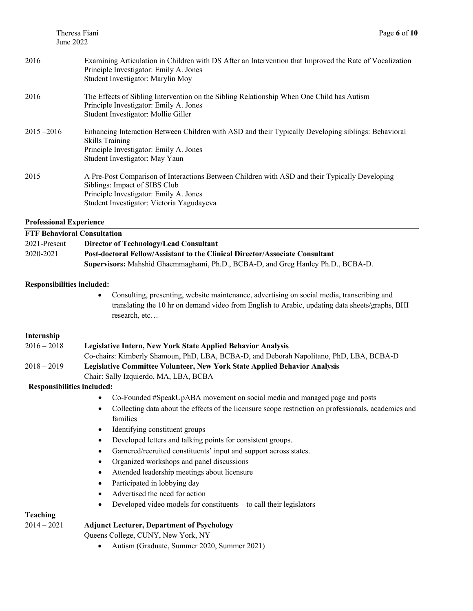| 2016          | Examining Articulation in Children with DS After an Intervention that Improved the Rate of Vocalization<br>Principle Investigator: Emily A. Jones<br>Student Investigator: Marylin Moy                                 |
|---------------|------------------------------------------------------------------------------------------------------------------------------------------------------------------------------------------------------------------------|
| 2016          | The Effects of Sibling Intervention on the Sibling Relationship When One Child has Autism<br>Principle Investigator: Emily A. Jones<br>Student Investigator: Mollie Giller                                             |
| $2015 - 2016$ | Enhancing Interaction Between Children with ASD and their Typically Developing siblings: Behavioral<br><b>Skills Training</b><br>Principle Investigator: Emily A. Jones<br>Student Investigator: May Yaun              |
| 2015          | A Pre-Post Comparison of Interactions Between Children with ASD and their Typically Developing<br>Siblings: Impact of SIBS Club<br>Principle Investigator: Emily A. Jones<br>Student Investigator: Victoria Yagudayeva |

## **Professional Experience**

| <b>FTF Behavioral Consultation</b> |                                                                                  |
|------------------------------------|----------------------------------------------------------------------------------|
| 2021-Present                       | Director of Technology/Lead Consultant                                           |
| 2020-2021                          | Post-doctoral Fellow/Assistant to the Clinical Director/Associate Consultant     |
|                                    | Supervisors: Mahshid Ghaemmaghami, Ph.D., BCBA-D, and Greg Hanley Ph.D., BCBA-D. |

# **Responsibilities included:**

• Consulting, presenting, website maintenance, advertising on social media, transcribing and translating the 10 hr on demand video from English to Arabic, updating data sheets/graphs, BHI research, etc…

## **Internship**

| $2016 - 2018$ | <b>Legislative Intern, New York State Applied Behavior Analysis</b>                     |
|---------------|-----------------------------------------------------------------------------------------|
|               | Co-chairs: Kimberly Shamoun, PhD, LBA, BCBA-D, and Deborah Napolitano, PhD, LBA, BCBA-D |
| $2018 - 2019$ | <b>Legislative Committee Volunteer, New York State Applied Behavior Analysis</b>        |
|               | Chair: Sally Izquierdo, MA, LBA, BCBA                                                   |

# **Responsibilities included:**

- Co-Founded #SpeakUpABA movement on social media and managed page and posts
- Collecting data about the effects of the licensure scope restriction on professionals, academics and families
- Identifying constituent groups
- Developed letters and talking points for consistent groups.
- Garnered/recruited constituents' input and support across states.
- Organized workshops and panel discussions
- Attended leadership meetings about licensure
- Participated in lobbying day
- Advertised the need for action
- Developed video models for constituents to call their legislators

# **Teaching**

# 2014 – 2021 **Adjunct Lecturer, Department of Psychology**

Queens College, CUNY, New York, NY

• Autism (Graduate, Summer 2020, Summer 2021)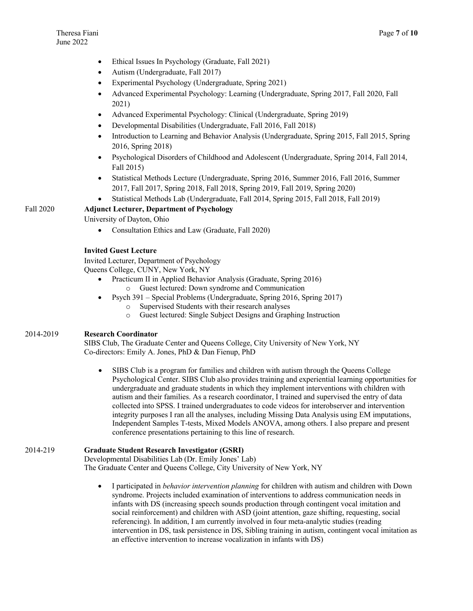- Ethical Issues In Psychology (Graduate, Fall 2021)
- Autism (Undergraduate, Fall 2017)
- Experimental Psychology (Undergraduate, Spring 2021)
- Advanced Experimental Psychology: Learning (Undergraduate, Spring 2017, Fall 2020, Fall 2021)
- Advanced Experimental Psychology: Clinical (Undergraduate, Spring 2019)
- Developmental Disabilities (Undergraduate, Fall 2016, Fall 2018)
- Introduction to Learning and Behavior Analysis (Undergraduate, Spring 2015, Fall 2015, Spring 2016, Spring 2018)
- Psychological Disorders of Childhood and Adolescent (Undergraduate, Spring 2014, Fall 2014, Fall 2015)
- Statistical Methods Lecture (Undergraduate, Spring 2016, Summer 2016, Fall 2016, Summer 2017, Fall 2017, Spring 2018, Fall 2018, Spring 2019, Fall 2019, Spring 2020)
- Statistical Methods Lab (Undergraduate, Fall 2014, Spring 2015, Fall 2018, Fall 2019)

# Fall 2020 **Adjunct Lecturer, Department of Psychology**

University of Dayton, Ohio

• Consultation Ethics and Law (Graduate, Fall 2020)

# **Invited Guest Lecture**

Invited Lecturer, Department of Psychology Queens College, CUNY, New York, NY

- Practicum II in Applied Behavior Analysis (Graduate, Spring 2016)
	- o Guest lectured: Down syndrome and Communication
- Psych 391 Special Problems (Undergraduate, Spring 2016, Spring 2017)
	- o Supervised Students with their research analyses
	- o Guest lectured: Single Subject Designs and Graphing Instruction

## 2014-2019 **Research Coordinator**

SIBS Club, The Graduate Center and Queens College, City University of New York, NY Co-directors: Emily A. Jones, PhD & Dan Fienup, PhD

SIBS Club is a program for families and children with autism through the Queens College Psychological Center. SIBS Club also provides training and experiential learning opportunities for undergraduate and graduate students in which they implement interventions with children with autism and their families. As a research coordinator, I trained and supervised the entry of data collected into SPSS. I trained undergraduates to code videos for interobserver and intervention integrity purposes I ran all the analyses, including Missing Data Analysis using EM imputations, Independent Samples T-tests, Mixed Models ANOVA, among others. I also prepare and present conference presentations pertaining to this line of research.

## 2014-219 **Graduate Student Research Investigator (GSRI)**

Developmental Disabilities Lab (Dr. Emily Jones' Lab)

The Graduate Center and Queens College, City University of New York, NY

• I participated in *behavior intervention planning* for children with autism and children with Down syndrome. Projects included examination of interventions to address communication needs in infants with DS (increasing speech sounds production through contingent vocal imitation and social reinforcement) and children with ASD (joint attention, gaze shifting, requesting, social referencing). In addition, I am currently involved in four meta-analytic studies (reading intervention in DS, task persistence in DS, Sibling training in autism, contingent vocal imitation as an effective intervention to increase vocalization in infants with DS)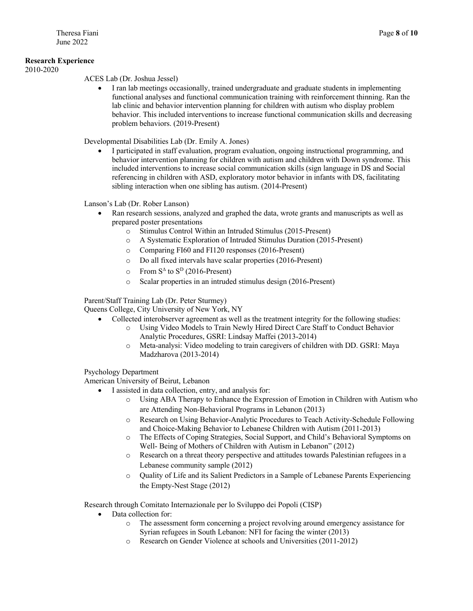## **Research Experience**

2010-2020

ACES Lab (Dr. Joshua Jessel)

• I ran lab meetings occasionally, trained undergraduate and graduate students in implementing functional analyses and functional communication training with reinforcement thinning. Ran the lab clinic and behavior intervention planning for children with autism who display problem behavior. This included interventions to increase functional communication skills and decreasing problem behaviors. (2019-Present)

Developmental Disabilities Lab (Dr. Emily A. Jones)

• I participated in staff evaluation, program evaluation, ongoing instructional programming, and behavior intervention planning for children with autism and children with Down syndrome. This included interventions to increase social communication skills (sign language in DS and Social referencing in children with ASD, exploratory motor behavior in infants with DS, facilitating sibling interaction when one sibling has autism. (2014-Present)

Lanson's Lab (Dr. Rober Lanson)

- Ran research sessions, analyzed and graphed the data, wrote grants and manuscripts as well as prepared poster presentations
	- o Stimulus Control Within an Intruded Stimulus (2015-Present)
	- o A Systematic Exploration of Intruded Stimulus Duration (2015-Present)
	- o Comparing FI60 and FI120 responses (2016-Present)
	- o Do all fixed intervals have scalar properties (2016-Present)
	- $\circ$  From S<sup> $\triangle$ </sup> to S<sup>D</sup> (2016-Present)
	- o Scalar properties in an intruded stimulus design (2016-Present)

Parent/Staff Training Lab (Dr. Peter Sturmey)

Queens College, City University of New York, NY

- Collected interobserver agreement as well as the treatment integrity for the following studies:
	- o Using Video Models to Train Newly Hired Direct Care Staff to Conduct Behavior Analytic Procedures, GSRI: Lindsay Maffei (2013-2014)
	- o Meta-analysi: Video modeling to train caregivers of children with DD. GSRI: Maya Madzharova (2013-2014)

Psychology Department

American University of Beirut, Lebanon

- I assisted in data collection, entry, and analysis for:
	- o Using ABA Therapy to Enhance the Expression of Emotion in Children with Autism who are Attending Non-Behavioral Programs in Lebanon (2013)
	- o Research on Using Behavior-Analytic Procedures to Teach Activity-Schedule Following and Choice-Making Behavior to Lebanese Children with Autism (2011-2013)
	- o The Effects of Coping Strategies, Social Support, and Child's Behavioral Symptoms on Well- Being of Mothers of Children with Autism in Lebanon" (2012)
	- o Research on a threat theory perspective and attitudes towards Palestinian refugees in a Lebanese community sample (2012)
	- o Quality of Life and its Salient Predictors in a Sample of Lebanese Parents Experiencing the Empty-Nest Stage (2012)

Research through Comitato Internazionale per lo Sviluppo dei Popoli (CISP)

- Data collection for:
	- o The assessment form concerning a project revolving around emergency assistance for Syrian refugees in South Lebanon: NFI for facing the winter (2013)
	- o Research on Gender Violence at schools and Universities (2011-2012)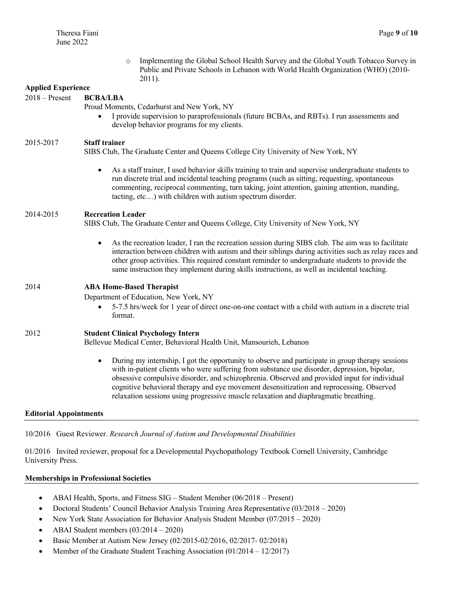|                               | Implementing the Global School Health Survey and the Global Youth Tobacco Survey in<br>$\circ$<br>Public and Private Schools in Lebanon with World Health Organization (WHO) (2010-<br>2011).                                                                                                                                                                                                                                                                                                     |
|-------------------------------|---------------------------------------------------------------------------------------------------------------------------------------------------------------------------------------------------------------------------------------------------------------------------------------------------------------------------------------------------------------------------------------------------------------------------------------------------------------------------------------------------|
| <b>Applied Experience</b>     |                                                                                                                                                                                                                                                                                                                                                                                                                                                                                                   |
| $2018 -$ Present              | <b>BCBA/LBA</b><br>Proud Moments, Cedarhurst and New York, NY<br>I provide supervision to paraprofessionals (future BCBAs, and RBTs). I run assessments and<br>$\bullet$<br>develop behavior programs for my clients.                                                                                                                                                                                                                                                                             |
| 2015-2017                     | <b>Staff trainer</b><br>SIBS Club, The Graduate Center and Queens College City University of New York, NY                                                                                                                                                                                                                                                                                                                                                                                         |
|                               | As a staff trainer, I used behavior skills training to train and supervise undergraduate students to<br>$\bullet$<br>run discrete trial and incidental teaching programs (such as sitting, requesting, spontaneous<br>commenting, reciprocal commenting, turn taking, joint attention, gaining attention, manding,<br>tacting, etc) with children with autism spectrum disorder.                                                                                                                  |
| 2014-2015                     | <b>Recreation Leader</b><br>SIBS Club, The Graduate Center and Queens College, City University of New York, NY                                                                                                                                                                                                                                                                                                                                                                                    |
|                               | As the recreation leader, I ran the recreation session during SIBS club. The aim was to facilitate<br>$\bullet$<br>interaction between children with autism and their siblings during activities such as relay races and<br>other group activities. This required constant reminder to undergraduate students to provide the<br>same instruction they implement during skills instructions, as well as incidental teaching.                                                                       |
| 2014                          | <b>ABA Home-Based Therapist</b><br>Department of Education, New York, NY<br>5-7.5 hrs/week for 1 year of direct one-on-one contact with a child with autism in a discrete trial<br>$\bullet$                                                                                                                                                                                                                                                                                                      |
|                               | format.                                                                                                                                                                                                                                                                                                                                                                                                                                                                                           |
| 2012                          | <b>Student Clinical Psychology Intern</b><br>Bellevue Medical Center, Behavioral Health Unit, Mansourieh, Lebanon                                                                                                                                                                                                                                                                                                                                                                                 |
|                               | During my internship, I got the opportunity to observe and participate in group therapy sessions<br>$\bullet$<br>with in-patient clients who were suffering from substance use disorder, depression, bipolar,<br>obsessive compulsive disorder, and schizophrenia. Observed and provided input for individual<br>cognitive behavioral therapy and eye movement desensitization and reprocessing. Observed<br>relaxation sessions using progressive muscle relaxation and diaphragmatic breathing. |
| <b>Editorial Appointments</b> |                                                                                                                                                                                                                                                                                                                                                                                                                                                                                                   |

10/2016 Guest Reviewer. *Research Journal of Autism and Developmental Disabilities* 

01/2016 Invited reviewer, proposal for a Developmental Psychopathology Textbook Cornell University, Cambridge University Press.

## **Memberships in Professional Societies**

- ABAI Health, Sports, and Fitness SIG Student Member (06/2018 Present)
- Doctoral Students' Council Behavior Analysis Training Area Representative (03/2018 2020)
- New York State Association for Behavior Analysis Student Member (07/2015 2020)
- ABAI Student members  $(03/2014 2020)$
- Basic Member at Autism New Jersey (02/2015-02/2016, 02/2017- 02/2018)
- Member of the Graduate Student Teaching Association (01/2014 12/2017)